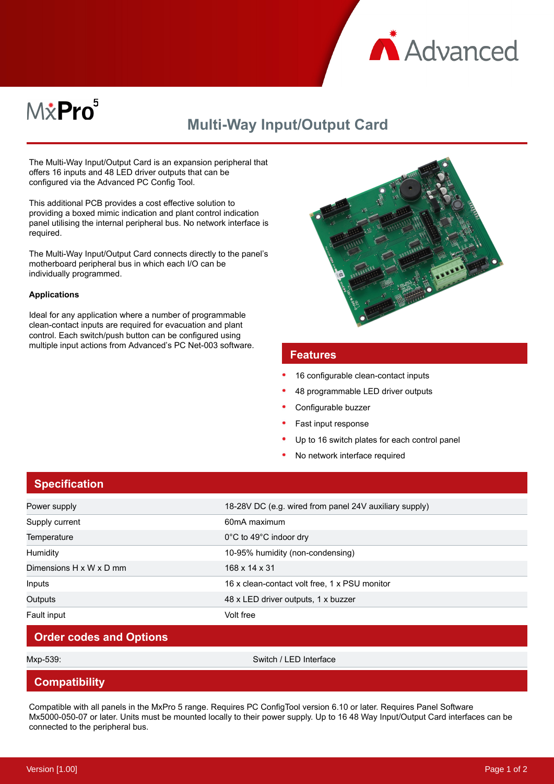

# M*\**Pro<sup>5</sup>

## **Multi-Way Input/Output Card**

The Multi-Way Input/Output Card is an expansion peripheral that offers 16 inputs and 48 LED driver outputs that can be configured via the Advanced PC Config Tool.

This additional PCB provides a cost effective solution to providing a boxed mimic indication and plant control indication panel utilising the internal peripheral bus. No network interface is required.

The Multi-Way Input/Output Card connects directly to the panel's motherboard peripheral bus in which each I/O can be individually programmed.

#### **Applications**

Ideal for any application where a number of programmable clean-contact inputs are required for evacuation and plant control. Each switch/push button can be configured using multiple input actions from Advanced's PC Net-003 software.



#### **Features**

- 16 configurable clean-contact inputs
- 48 programmable LED driver outputs
- Configurable buzzer
- Fast input response
- Up to 16 switch plates for each control panel
- No network interface required

|  | <b>Specification</b> |  |  |
|--|----------------------|--|--|
|  |                      |  |  |
|  |                      |  |  |
|  |                      |  |  |

| Power supply            | 18-28V DC (e.g. wired from panel 24V auxiliary supply) |
|-------------------------|--------------------------------------------------------|
| Supply current          | 60mA maximum                                           |
| Temperature             | 0°C to 49°C indoor dry                                 |
| <b>Humidity</b>         | 10-95% humidity (non-condensing)                       |
| Dimensions H x W x D mm | 168 x 14 x 31                                          |
| Inputs                  | 16 x clean-contact volt free, 1 x PSU monitor          |
| Outputs                 | 48 x LED driver outputs, 1 x buzzer                    |
| Fault input             | Volt free                                              |

### **Order codes and Options**

Mxp-539: Switch / LED Interface

#### **Compatibility**

Compatible with all panels in the MxPro 5 range. Requires PC ConfigTool version 6.10 or later. Requires Panel Software Mx5000-050-07 or later. Units must be mounted locally to their power supply. Up to 16 48 Way Input/Output Card interfaces can be connected to the peripheral bus.